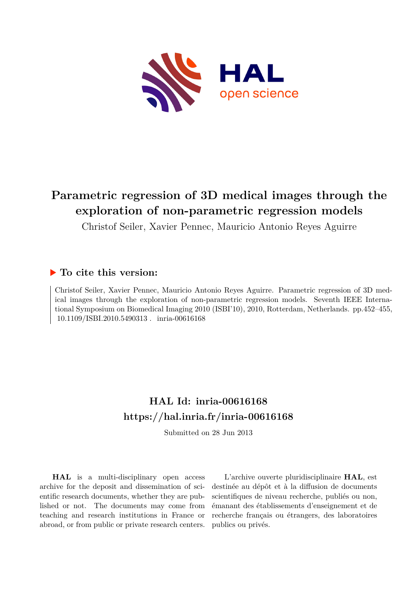

# **Parametric regression of 3D medical images through the exploration of non-parametric regression models**

Christof Seiler, Xavier Pennec, Mauricio Antonio Reyes Aguirre

# **To cite this version:**

Christof Seiler, Xavier Pennec, Mauricio Antonio Reyes Aguirre. Parametric regression of 3D medical images through the exploration of non-parametric regression models. Seventh IEEE International Symposium on Biomedical Imaging 2010 (ISBI'10), 2010, Rotterdam, Netherlands. pp.452–455,  $10.1109/$ ISBI.2010.5490313. inria-00616168

# **HAL Id: inria-00616168 <https://hal.inria.fr/inria-00616168>**

Submitted on 28 Jun 2013

**HAL** is a multi-disciplinary open access archive for the deposit and dissemination of scientific research documents, whether they are published or not. The documents may come from teaching and research institutions in France or abroad, or from public or private research centers.

L'archive ouverte pluridisciplinaire **HAL**, est destinée au dépôt et à la diffusion de documents scientifiques de niveau recherche, publiés ou non, émanant des établissements d'enseignement et de recherche français ou étrangers, des laboratoires publics ou privés.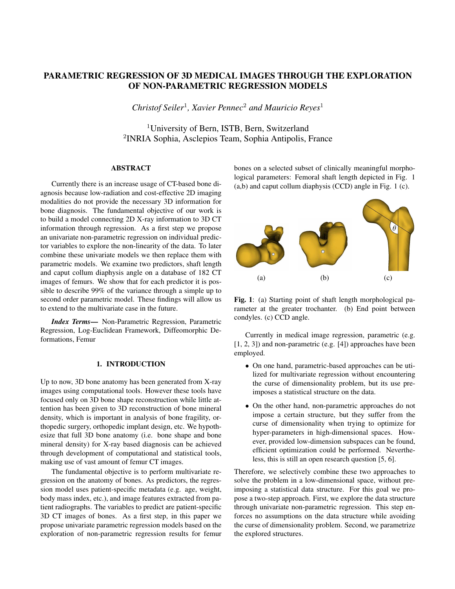# PARAMETRIC REGRESSION OF 3D MEDICAL IMAGES THROUGH THE EXPLORATION OF NON-PARAMETRIC REGRESSION MODELS

*Christof Seiler*<sup>1</sup> *, Xavier Pennec*<sup>2</sup> *and Mauricio Reyes*<sup>1</sup>

<sup>1</sup>University of Bern, ISTB, Bern, Switzerland 2 INRIA Sophia, Asclepios Team, Sophia Antipolis, France

# ABSTRACT

Currently there is an increase usage of CT-based bone diagnosis because low-radiation and cost-effective 2D imaging modalities do not provide the necessary 3D information for bone diagnosis. The fundamental objective of our work is to build a model connecting 2D X-ray information to 3D CT information through regression. As a first step we propose an univariate non-parametric regression on individual predictor variables to explore the non-linearity of the data. To later combine these univariate models we then replace them with parametric models. We examine two predictors, shaft length and caput collum diaphysis angle on a database of 182 CT images of femurs. We show that for each predictor it is possible to describe 99% of the variance through a simple up to second order parametric model. These findings will allow us to extend to the multivariate case in the future.

*Index Terms*— Non-Parametric Regression, Parametric Regression, Log-Euclidean Framework, Diffeomorphic Deformations, Femur

# 1. INTRODUCTION

Up to now, 3D bone anatomy has been generated from X-ray images using computational tools. However these tools have focused only on 3D bone shape reconstruction while little attention has been given to 3D reconstruction of bone mineral density, which is important in analysis of bone fragility, orthopedic surgery, orthopedic implant design, etc. We hypothesize that full 3D bone anatomy (i.e. bone shape and bone mineral density) for X-ray based diagnosis can be achieved through development of computational and statistical tools, making use of vast amount of femur CT images.

The fundamental objective is to perform multivariate regression on the anatomy of bones. As predictors, the regression model uses patient-specific metadata (e.g. age, weight, body mass index, etc.), and image features extracted from patient radiographs. The variables to predict are patient-specific 3D CT images of bones. As a first step, in this paper we propose univariate parametric regression models based on the exploration of non-parametric regression results for femur bones on a selected subset of clinically meaningful morphological parameters: Femoral shaft length depicted in Fig. 1 (a,b) and caput collum diaphysis (CCD) angle in Fig. 1 (c).



Fig. 1: (a) Starting point of shaft length morphological parameter at the greater trochanter. (b) End point between condyles. (c) CCD angle.

Currently in medical image regression, parametric (e.g. [1, 2, 3]) and non-parametric (e.g. [4]) approaches have been employed.

- On one hand, parametric-based approaches can be utilized for multivariate regression without encountering the curse of dimensionality problem, but its use preimposes a statistical structure on the data.
- On the other hand, non-parametric approaches do not impose a certain structure, but they suffer from the curse of dimensionality when trying to optimize for hyper-parameters in high-dimensional spaces. However, provided low-dimension subspaces can be found, efficient optimization could be performed. Nevertheless, this is still an open research question [5, 6].

Therefore, we selectively combine these two approaches to solve the problem in a low-dimensional space, without preimposing a statistical data structure. For this goal we propose a two-step approach. First, we explore the data structure through univariate non-parametric regression. This step enforces no assumptions on the data structure while avoiding the curse of dimensionality problem. Second, we parametrize the explored structures.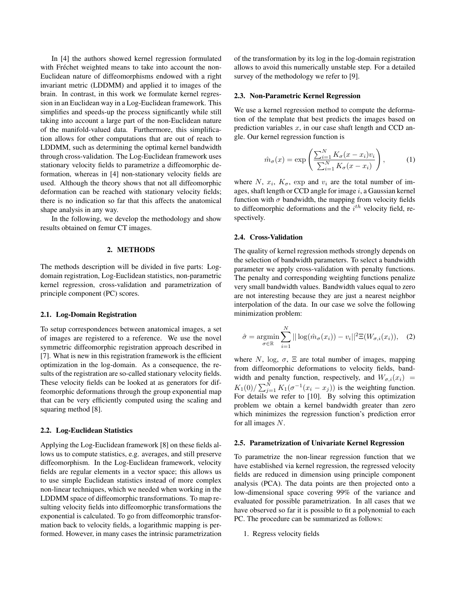In [4] the authors showed kernel regression formulated with Fréchet weighted means to take into account the non-Euclidean nature of diffeomorphisms endowed with a right invariant metric (LDDMM) and applied it to images of the brain. In contrast, in this work we formulate kernel regression in an Euclidean way in a Log-Euclidean framework. This simplifies and speeds-up the process significantly while still taking into account a large part of the non-Euclidean nature of the manifold-valued data. Furthermore, this simplification allows for other computations that are out of reach to LDDMM, such as determining the optimal kernel bandwidth through cross-validation. The Log-Euclidean framework uses stationary velocity fields to parametrize a diffeomorphic deformation, whereas in [4] non-stationary velocity fields are used. Although the theory shows that not all diffeomorphic deformation can be reached with stationary velocity fields; there is no indication so far that this affects the anatomical shape analysis in any way.

In the following, we develop the methodology and show results obtained on femur CT images.

## 2. METHODS

The methods description will be divided in five parts: Logdomain registration, Log-Euclidean statistics, non-parametric kernel regression, cross-validation and parametrization of principle component (PC) scores.

#### 2.1. Log-Domain Registration

To setup correspondences between anatomical images, a set of images are registered to a reference. We use the novel symmetric diffeomorphic registration approach described in [7]. What is new in this registration framework is the efficient optimization in the log-domain. As a consequence, the results of the registration are so-called stationary velocity fields. These velocity fields can be looked at as generators for diffeomorphic deformations through the group exponential map that can be very efficiently computed using the scaling and squaring method [8].

#### 2.2. Log-Euclidean Statistics

Applying the Log-Euclidean framework [8] on these fields allows us to compute statistics, e.g. averages, and still preserve diffeomorphism. In the Log-Euclidean framework, velocity fields are regular elements in a vector space; this allows us to use simple Euclidean statistics instead of more complex non-linear techniques, which we needed when working in the LDDMM space of diffeomorphic transformations. To map resulting velocity fields into diffeomorphic transformations the exponential is calculated. To go from diffeomorphic transformation back to velocity fields, a logarithmic mapping is performed. However, in many cases the intrinsic parametrization

of the transformation by its log in the log-domain registration allows to avoid this numerically unstable step. For a detailed survey of the methodology we refer to [9].

#### 2.3. Non-Parametric Kernel Regression

We use a kernel regression method to compute the deformation of the template that best predicts the images based on prediction variables  $x$ , in our case shaft length and CCD angle. Our kernel regression function is

$$
\hat{m}_{\sigma}(x) = \exp\left(\frac{\sum_{i=1}^{N} K_{\sigma}(x - x_i)v_i}{\sum_{i=1}^{N} K_{\sigma}(x - x_i)}\right),\tag{1}
$$

where N,  $x_i$ ,  $K_{\sigma}$ , exp and  $v_i$  are the total number of images, shaft length or CCD angle for image  $i$ , a Gaussian kernel function with  $\sigma$  bandwidth, the mapping from velocity fields to diffeomorphic deformations and the  $i^{th}$  velocity field, respectively.

#### 2.4. Cross-Validation

The quality of kernel regression methods strongly depends on the selection of bandwidth parameters. To select a bandwidth parameter we apply cross-validation with penalty functions. The penalty and corresponding weighting functions penalize very small bandwidth values. Bandwidth values equal to zero are not interesting because they are just a nearest neighbor interpolation of the data. In our case we solve the following minimization problem:

$$
\hat{\sigma} = \underset{\sigma \in \mathbb{R}}{\operatorname{argmin}} \sum_{i=1}^{N} ||\log(\hat{m}_{\sigma}(x_i)) - v_i||^2 \Xi(W_{\sigma,i}(x_i)), \quad (2)
$$

where N, log,  $\sigma$ ,  $\Xi$  are total number of images, mapping from diffeomorphic deformations to velocity fields, bandwidth and penalty function, respectively, and  $W_{\sigma,i}(x_i)$  =  $K_1(0)/\sum_{j=1}^N K_1(\sigma^{-1}(x_i - x_j))$  is the weighting function. For details we refer to [10]. By solving this optimization problem we obtain a kernel bandwidth greater than zero which minimizes the regression function's prediction error for all images N.

#### 2.5. Parametrization of Univariate Kernel Regression

To parametrize the non-linear regression function that we have established via kernel regression, the regressed velocity fields are reduced in dimension using principle component analysis (PCA). The data points are then projected onto a low-dimensional space covering 99% of the variance and evaluated for possible parametrization. In all cases that we have observed so far it is possible to fit a polynomial to each PC. The procedure can be summarized as follows:

1. Regress velocity fields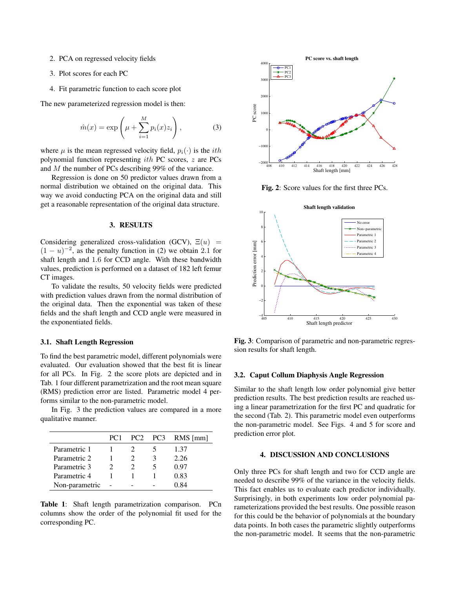- 2. PCA on regressed velocity fields
- 3. Plot scores for each PC
- 4. Fit parametric function to each score plot

The new parameterized regression model is then:

$$
\hat{m}(x) = \exp\left(\mu + \sum_{i=1}^{M} p_i(x) z_i\right),\tag{3}
$$

where  $\mu$  is the mean regressed velocity field,  $p_i(\cdot)$  is the *ith* polynomial function representing ith PC scores, z are PCs and M the number of PCs describing 99% of the variance.

Regression is done on 50 predictor values drawn from a normal distribution we obtained on the original data. This way we avoid conducting PCA on the original data and still get a reasonable representation of the original data structure.

## 3. RESULTS

Considering generalized cross-validation (GCV),  $\Xi(u)$  =  $(1 - u)^{-2}$ , as the penalty function in (2) we obtain 2.1 for shaft length and 1.6 for CCD angle. With these bandwidth values, prediction is performed on a dataset of 182 left femur CT images.

To validate the results, 50 velocity fields were predicted with prediction values drawn from the normal distribution of the original data. Then the exponential was taken of these fields and the shaft length and CCD angle were measured in the exponentiated fields.

#### 3.1. Shaft Length Regression

To find the best parametric model, different polynomials were evaluated. Our evaluation showed that the best fit is linear for all PCs. In Fig. 2 the score plots are depicted and in Tab. 1 four different parametrization and the root mean square (RMS) prediction error are listed. Parametric model 4 performs similar to the non-parametric model.

In Fig. 3 the prediction values are compared in a more qualitative manner.

|                | PC <sub>1</sub> |  | PC <sub>2</sub> PC <sub>3</sub> RM <sub>S</sub> [mm] |
|----------------|-----------------|--|------------------------------------------------------|
| Parametric 1   |                 |  | 1.37                                                 |
| Parametric 2   |                 |  | 2.26                                                 |
| Parametric 3   |                 |  | 0.97                                                 |
| Parametric 4   |                 |  | 0.83                                                 |
| Non-parametric |                 |  | ) 84                                                 |

Table 1: Shaft length parametrization comparison. PCn columns show the order of the polynomial fit used for the corresponding PC.



Fig. 2: Score values for the first three PCs.



Fig. 3: Comparison of parametric and non-parametric regression results for shaft length.

#### 3.2. Caput Collum Diaphysis Angle Regression

Similar to the shaft length low order polynomial give better prediction results. The best prediction results are reached using a linear parametrization for the first PC and quadratic for the second (Tab. 2). This parametric model even outperforms the non-parametric model. See Figs. 4 and 5 for score and prediction error plot.

## 4. DISCUSSION AND CONCLUSIONS

Only three PCs for shaft length and two for CCD angle are needed to describe 99% of the variance in the velocity fields. This fact enables us to evaluate each predictor individually. Surprisingly, in both experiments low order polynomial parameterizations provided the best results. One possible reason for this could be the behavior of polynomials at the boundary data points. In both cases the parametric slightly outperforms the non-parametric model. It seems that the non-parametric